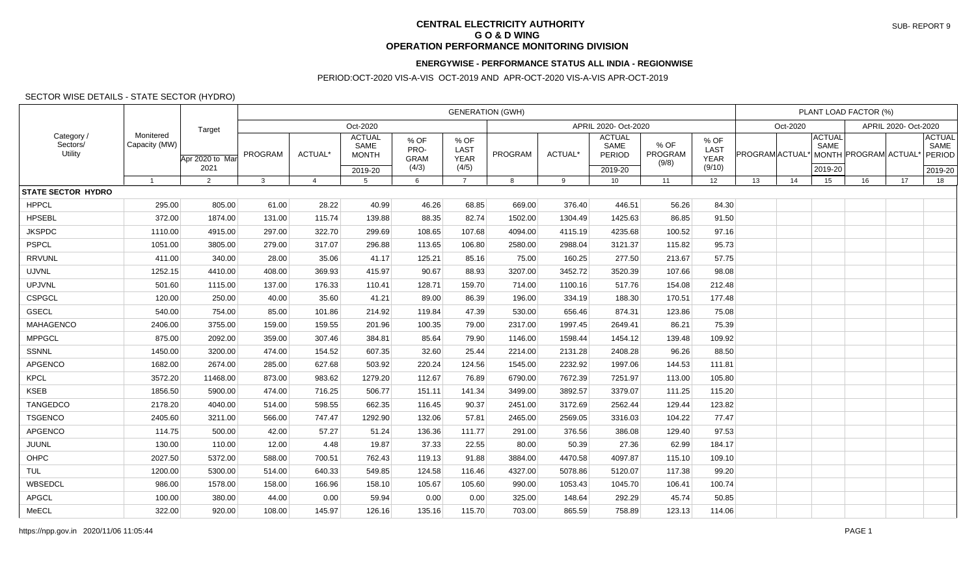## **CENTRAL ELECTRICITY AUTHORITY G O & D WING OPERATION PERFORMANCE MONITORING DIVISION**

## **ENERGYWISE - PERFORMANCE STATUS ALL INDIA - REGIONWISE**

## PERIOD:OCT-2020 VIS-A-VIS OCT-2019 AND APR-OCT-2020 VIS-A-VIS APR-OCT-2019

## SECTOR WISE DETAILS - STATE SECTOR (HYDRO)

| Category<br>Sectors/<br><b>Utility</b> | Monitered<br>Capacity (MW) | Target                  | <b>GENERATION (GWH)</b> |                |                                                  |                                      |                                      |                      |         |                                            |                          |                                              | PLANT LOAD FACTOR (%) |    |                                  |                      |                                            |
|----------------------------------------|----------------------------|-------------------------|-------------------------|----------------|--------------------------------------------------|--------------------------------------|--------------------------------------|----------------------|---------|--------------------------------------------|--------------------------|----------------------------------------------|-----------------------|----|----------------------------------|----------------------|--------------------------------------------|
|                                        |                            |                         | Oct-2020                |                |                                                  |                                      |                                      | APRIL 2020- Oct-2020 |         |                                            |                          |                                              | Oct-2020              |    |                                  | APRIL 2020- Oct-2020 |                                            |
|                                        |                            | Apr 2020 to Mar<br>2021 | PROGRAM                 | ACTUAL*        | <b>ACTUAL</b><br>SAME<br><b>MONTH</b><br>2019-20 | % OF<br>PRO-<br><b>GRAM</b><br>(4/3) | % OF<br>LAST<br><b>YEAR</b><br>(4/5) | <b>PROGRAM</b>       | ACTUAL* | <b>ACTUAL</b><br>SAME<br>PERIOD<br>2019-20 | % OF<br>PROGRAM<br>(9/8) | % OF<br><b>LAST</b><br><b>YEAR</b><br>(9/10) | PROGRAM ACTUAL*       |    | <b>ACTUAL</b><br>SAME<br>2019-20 | MONTH PROGRAM ACTUAL | <b>ACTUAL</b><br>SAME<br>PERIOD<br>2019-20 |
|                                        | $\mathbf{1}$               | $\overline{2}$          | $\mathbf{3}$            | $\overline{4}$ | -5                                               | 6                                    | $\overline{7}$                       | 8                    | 9       | 10                                         | 11                       | 12                                           | 13                    | 14 | 15                               | 16<br>17             | 18                                         |
| <b>STATE SECTOR HYDRO</b>              |                            |                         |                         |                |                                                  |                                      |                                      |                      |         |                                            |                          |                                              |                       |    |                                  |                      |                                            |
| <b>HPPCL</b>                           | 295.00                     | 805.00                  | 61.00                   | 28.22          | 40.99                                            | 46.26                                | 68.85                                | 669.00               | 376.40  | 446.51                                     | 56.26                    | 84.30                                        |                       |    |                                  |                      |                                            |
| <b>HPSEBL</b>                          | 372.00                     | 1874.00                 | 131.00                  | 115.74         | 139.88                                           | 88.35                                | 82.74                                | 1502.00              | 1304.49 | 1425.63                                    | 86.85                    | 91.50                                        |                       |    |                                  |                      |                                            |
| <b>JKSPDC</b>                          | 1110.00                    | 4915.00                 | 297.00                  | 322.70         | 299.69                                           | 108.65                               | 107.68                               | 4094.00              | 4115.19 | 4235.68                                    | 100.52                   | 97.16                                        |                       |    |                                  |                      |                                            |
| <b>PSPCL</b>                           | 1051.00                    | 3805.00                 | 279.00                  | 317.07         | 296.88                                           | 113.65                               | 106.80                               | 2580.00              | 2988.04 | 3121.37                                    | 115.82                   | 95.73                                        |                       |    |                                  |                      |                                            |
| <b>RRVUNL</b>                          | 411.00                     | 340.00                  | 28.00                   | 35.06          | 41.17                                            | 125.21                               | 85.16                                | 75.00                | 160.25  | 277.50                                     | 213.67                   | 57.75                                        |                       |    |                                  |                      |                                            |
| <b>UJVNL</b>                           | 1252.15                    | 4410.00                 | 408.00                  | 369.93         | 415.97                                           | 90.67                                | 88.93                                | 3207.00              | 3452.72 | 3520.39                                    | 107.66                   | 98.08                                        |                       |    |                                  |                      |                                            |
| <b>UPJVNL</b>                          | 501.60                     | 1115.00                 | 137.00                  | 176.33         | 110.41                                           | 128.71                               | 159.70                               | 714.00               | 1100.16 | 517.76                                     | 154.08                   | 212.48                                       |                       |    |                                  |                      |                                            |
| <b>CSPGCL</b>                          | 120.00                     | 250.00                  | 40.00                   | 35.60          | 41.21                                            | 89.00                                | 86.39                                | 196.00               | 334.19  | 188.30                                     | 170.51                   | 177.48                                       |                       |    |                                  |                      |                                            |
| <b>GSECL</b>                           | 540.00                     | 754.00                  | 85.00                   | 101.86         | 214.92                                           | 119.84                               | 47.39                                | 530.00               | 656.46  | 874.31                                     | 123.86                   | 75.08                                        |                       |    |                                  |                      |                                            |
| <b>MAHAGENCO</b>                       | 2406.00                    | 3755.00                 | 159.00                  | 159.55         | 201.96                                           | 100.35                               | 79.00                                | 2317.00              | 1997.45 | 2649.41                                    | 86.21                    | 75.39                                        |                       |    |                                  |                      |                                            |
| <b>MPPGCL</b>                          | 875.00                     | 2092.00                 | 359.00                  | 307.46         | 384.81                                           | 85.64                                | 79.90                                | 1146.00              | 1598.44 | 1454.12                                    | 139.48                   | 109.92                                       |                       |    |                                  |                      |                                            |
| SSNNL                                  | 1450.00                    | 3200.00                 | 474.00                  | 154.52         | 607.35                                           | 32.60                                | 25.44                                | 2214.00              | 2131.28 | 2408.28                                    | 96.26                    | 88.50                                        |                       |    |                                  |                      |                                            |
| APGENCO                                | 1682.00                    | 2674.00                 | 285.00                  | 627.68         | 503.92                                           | 220.24                               | 124.56                               | 1545.00              | 2232.92 | 1997.06                                    | 144.53                   | 111.81                                       |                       |    |                                  |                      |                                            |
| <b>KPCL</b>                            | 3572.20                    | 11468.00                | 873.00                  | 983.62         | 1279.20                                          | 112.67                               | 76.89                                | 6790.00              | 7672.39 | 7251.97                                    | 113.00                   | 105.80                                       |                       |    |                                  |                      |                                            |
| <b>KSEB</b>                            | 1856.50                    | 5900.00                 | 474.00                  | 716.25         | 506.77                                           | 151.11                               | 141.34                               | 3499.00              | 3892.57 | 3379.07                                    | 111.25                   | 115.20                                       |                       |    |                                  |                      |                                            |
| <b>TANGEDCO</b>                        | 2178.20                    | 4040.00                 | 514.00                  | 598.55         | 662.35                                           | 116.45                               | 90.37                                | 2451.00              | 3172.69 | 2562.44                                    | 129.44                   | 123.82                                       |                       |    |                                  |                      |                                            |
| <b>TSGENCO</b>                         | 2405.60                    | 3211.00                 | 566.00                  | 747.47         | 1292.90                                          | 132.06                               | 57.81                                | 2465.00              | 2569.05 | 3316.03                                    | 104.22                   | 77.47                                        |                       |    |                                  |                      |                                            |
| APGENCO                                | 114.75                     | 500.00                  | 42.00                   | 57.27          | 51.24                                            | 136.36                               | 111.77                               | 291.00               | 376.56  | 386.08                                     | 129.40                   | 97.53                                        |                       |    |                                  |                      |                                            |
| JUUNL                                  | 130.00                     | 110.00                  | 12.00                   | 4.48           | 19.87                                            | 37.33                                | 22.55                                | 80.00                | 50.39   | 27.36                                      | 62.99                    | 184.17                                       |                       |    |                                  |                      |                                            |
| OHPC                                   | 2027.50                    | 5372.00                 | 588.00                  | 700.51         | 762.43                                           | 119.13                               | 91.88                                | 3884.00              | 4470.58 | 4097.87                                    | 115.10                   | 109.10                                       |                       |    |                                  |                      |                                            |
| TUL                                    | 1200.00                    | 5300.00                 | 514.00                  | 640.33         | 549.85                                           | 124.58                               | 116.46                               | 4327.00              | 5078.86 | 5120.07                                    | 117.38                   | 99.20                                        |                       |    |                                  |                      |                                            |
| WBSEDCL                                | 986.00                     | 1578.00                 | 158.00                  | 166.96         | 158.10                                           | 105.67                               | 105.60                               | 990.00               | 1053.43 | 1045.70                                    | 106.41                   | 100.74                                       |                       |    |                                  |                      |                                            |
| <b>APGCL</b>                           | 100.00                     | 380.00                  | 44.00                   | 0.00           | 59.94                                            | 0.00                                 | 0.00                                 | 325.00               | 148.64  | 292.29                                     | 45.74                    | 50.85                                        |                       |    |                                  |                      |                                            |
| MeECL                                  | 322.00                     | 920.00                  | 108.00                  | 145.97         | 126.16                                           | 135.16                               | 115.70                               | 703.00               | 865.59  | 758.89                                     | 123.13                   | 114.06                                       |                       |    |                                  |                      |                                            |